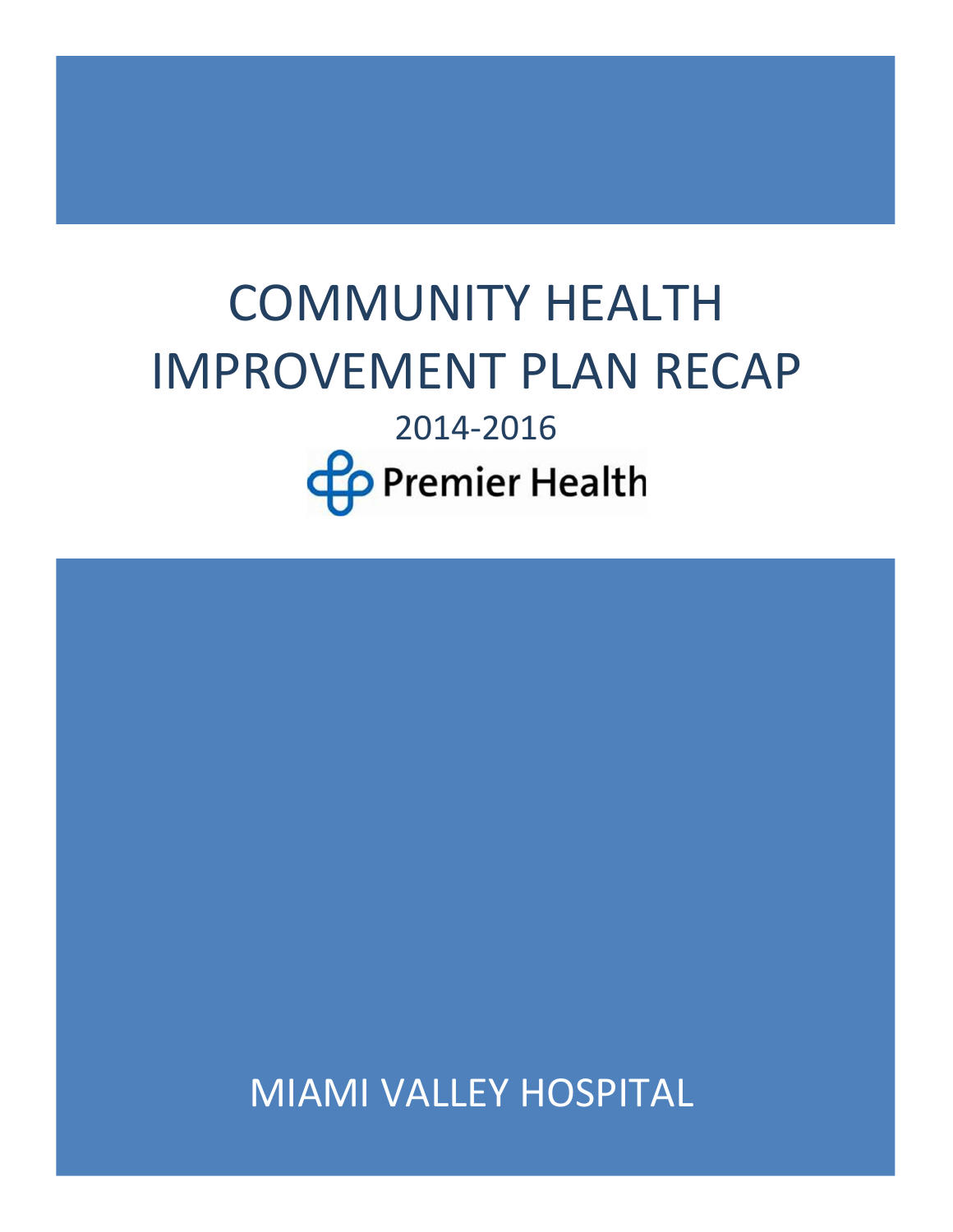# COMMUNITY HEALTH IMPROVEMENT PLAN RECAP 2014-2016 **Co** Premier Health

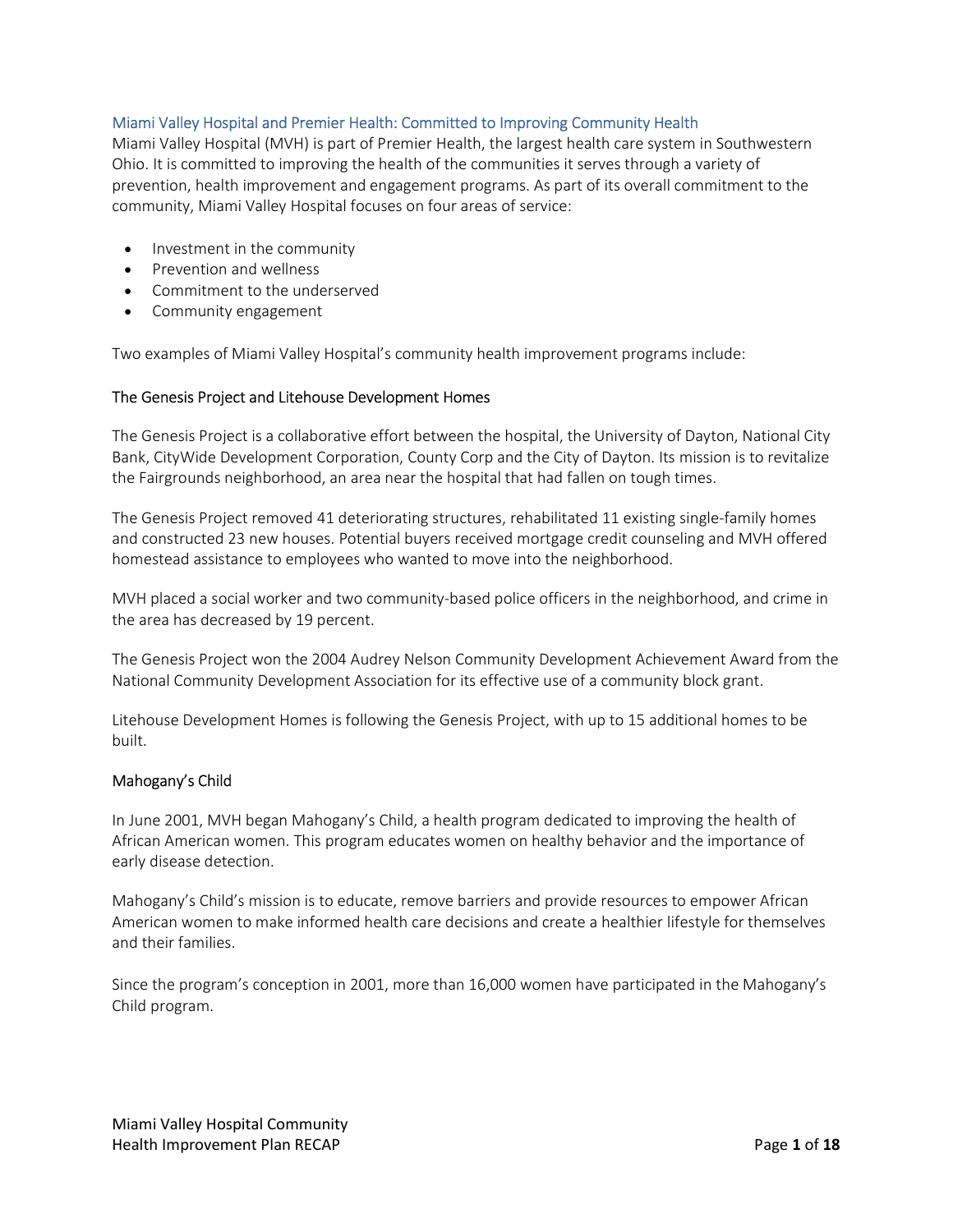# Miami Valley Hospital and Premier Health: Committed to Improving Community Health

Miami Valley Hospital (MVH) is part of Premier Health, the largest health care system in Southwestern Ohio. It is committed to improving the health of the communities it serves through a variety of prevention, health improvement and engagement programs. As part of its overall commitment to the community, Miami Valley Hospital focuses on four areas of service:

- Investment in the community
- Prevention and wellness
- Commitment to the underserved
- Community engagement

Two examples of Miami Valley Hospital's community health improvement programs include:

## The Genesis Project and Litehouse Development Homes

The Genesis Project is a collaborative effort between the hospital, the University of Dayton, National City Bank, CityWide Development Corporation, County Corp and the City of Dayton. Its mission is to revitalize the Fairgrounds neighborhood, an area near the hospital that had fallen on tough times.

The Genesis Project removed 41 deteriorating structures, rehabilitated 11 existing single-family homes and constructed 23 new houses. Potential buyers received mortgage credit counseling and MVH offered homestead assistance to employees who wanted to move into the neighborhood.

MVH placed a social worker and two community-based police officers in the neighborhood, and crime in the area has decreased by 19 percent.

The Genesis Project won the 2004 Audrey Nelson Community Development Achievement Award from the National Community Development Association for its effective use of a community block grant.

Litehouse Development Homes is following the Genesis Project, with up to 15 additional homes to be built.

# Mahogany's Child

In June 2001, MVH began Mahogany's Child, a health program dedicated to improving the health of African American women. This program educates women on healthy behavior and the importance of early disease detection.

Mahogany's Child's mission is to educate, remove barriers and provide resources to empower African American women to make informed health care decisions and create a healthier lifestyle for themselves and their families.

Since the program's conception in 2001, more than 16,000 women have participated in the Mahogany's Child program.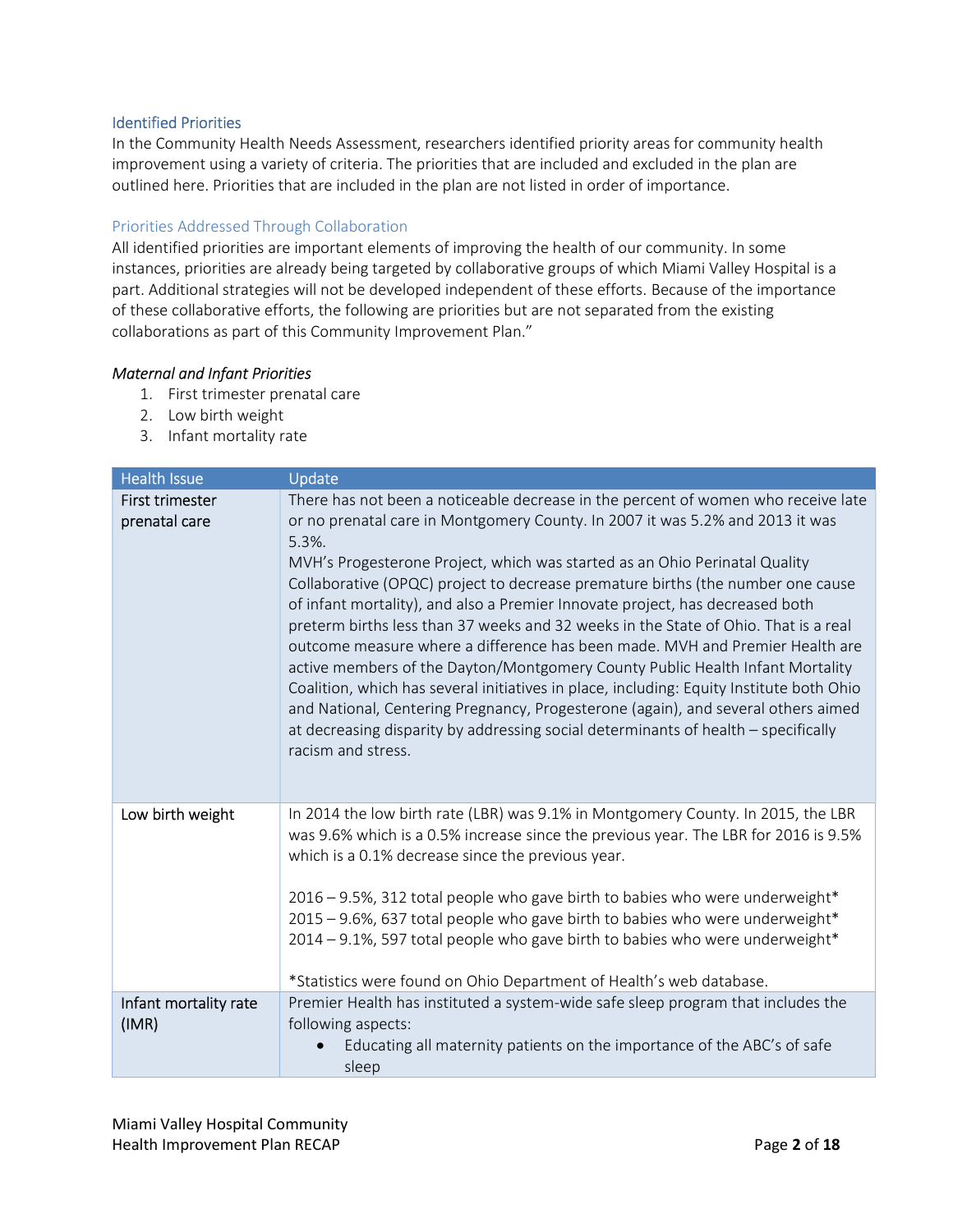## Identified Priorities

In the Community Health Needs Assessment, researchers identified priority areas for community health improvement using a variety of criteria. The priorities that are included and excluded in the plan are outlined here. Priorities that are included in the plan are not listed in order of importance.

# Priorities Addressed Through Collaboration

All identified priorities are important elements of improving the health of our community. In some instances, priorities are already being targeted by collaborative groups of which Miami Valley Hospital is a part. Additional strategies will not be developed independent of these efforts. Because of the importance of these collaborative efforts, the following are priorities but are not separated from the existing collaborations as part of this Community Improvement Plan."

## Maternal and Infant Priorities

- 1. First trimester prenatal care
- 2. Low birth weight
- 3. Infant mortality rate

| <b>Health Issue</b>              | Update                                                                                                                                                                                                                                                                                                                                                                                                                                                                                                                                                                                                                                                                                                                                                                                                                                                                                                                                                                                 |
|----------------------------------|----------------------------------------------------------------------------------------------------------------------------------------------------------------------------------------------------------------------------------------------------------------------------------------------------------------------------------------------------------------------------------------------------------------------------------------------------------------------------------------------------------------------------------------------------------------------------------------------------------------------------------------------------------------------------------------------------------------------------------------------------------------------------------------------------------------------------------------------------------------------------------------------------------------------------------------------------------------------------------------|
| First trimester<br>prenatal care | There has not been a noticeable decrease in the percent of women who receive late<br>or no prenatal care in Montgomery County. In 2007 it was 5.2% and 2013 it was<br>$5.3\%$ .<br>MVH's Progesterone Project, which was started as an Ohio Perinatal Quality<br>Collaborative (OPQC) project to decrease premature births (the number one cause<br>of infant mortality), and also a Premier Innovate project, has decreased both<br>preterm births less than 37 weeks and 32 weeks in the State of Ohio. That is a real<br>outcome measure where a difference has been made. MVH and Premier Health are<br>active members of the Dayton/Montgomery County Public Health Infant Mortality<br>Coalition, which has several initiatives in place, including: Equity Institute both Ohio<br>and National, Centering Pregnancy, Progesterone (again), and several others aimed<br>at decreasing disparity by addressing social determinants of health – specifically<br>racism and stress. |
| Low birth weight                 | In 2014 the low birth rate (LBR) was 9.1% in Montgomery County. In 2015, the LBR<br>was 9.6% which is a 0.5% increase since the previous year. The LBR for 2016 is 9.5%<br>which is a 0.1% decrease since the previous year.<br>2016 - 9.5%, 312 total people who gave birth to babies who were underweight*<br>2015 - 9.6%, 637 total people who gave birth to babies who were underweight*<br>2014 - 9.1%, 597 total people who gave birth to babies who were underweight*<br>*Statistics were found on Ohio Department of Health's web database.                                                                                                                                                                                                                                                                                                                                                                                                                                    |
| Infant mortality rate<br>(IMR)   | Premier Health has instituted a system-wide safe sleep program that includes the<br>following aspects:<br>Educating all maternity patients on the importance of the ABC's of safe                                                                                                                                                                                                                                                                                                                                                                                                                                                                                                                                                                                                                                                                                                                                                                                                      |
|                                  | sleep                                                                                                                                                                                                                                                                                                                                                                                                                                                                                                                                                                                                                                                                                                                                                                                                                                                                                                                                                                                  |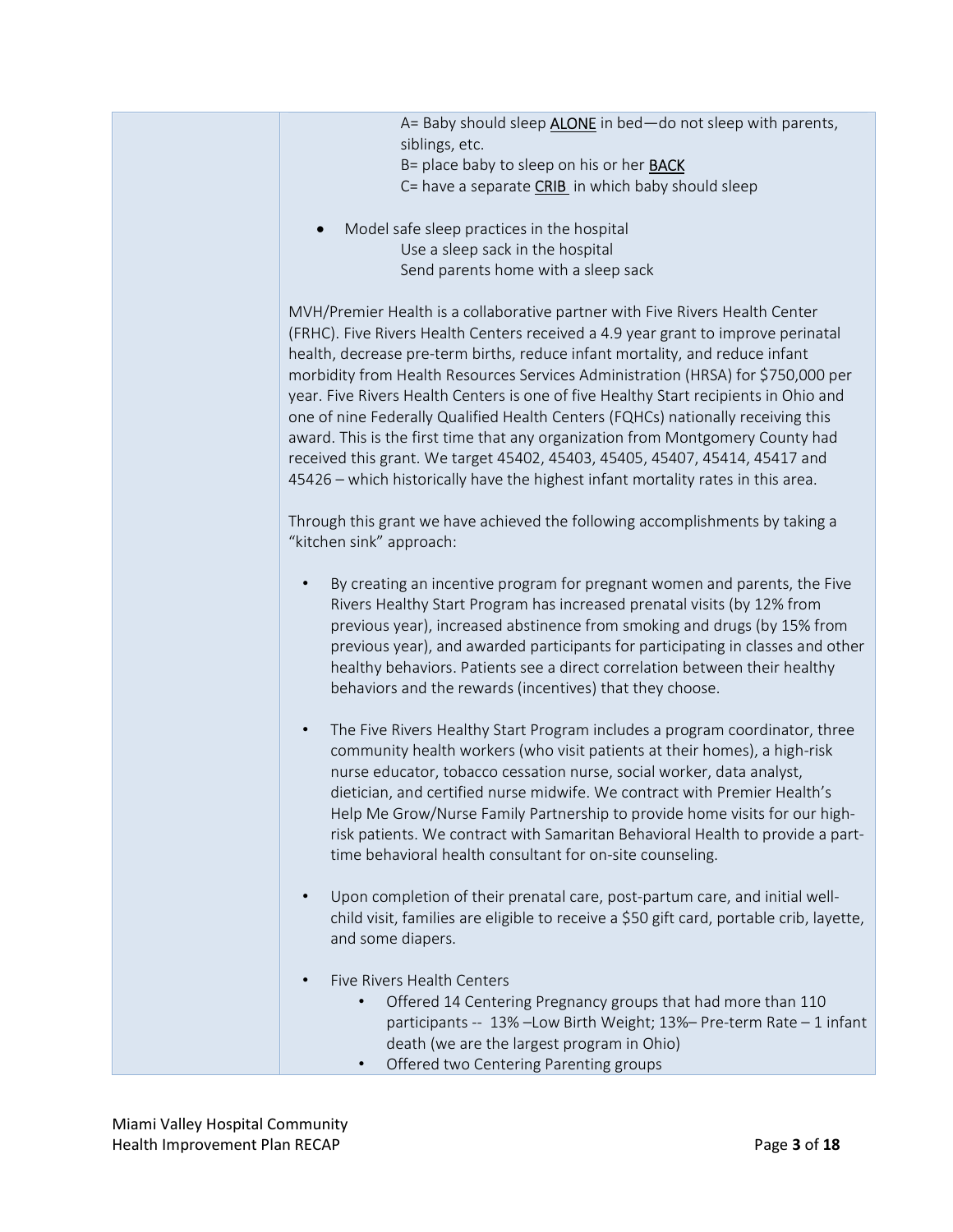| A= Baby should sleep <b>ALONE</b> in bed-do not sleep with parents,<br>siblings, etc.<br>B= place baby to sleep on his or her <b>BACK</b><br>C= have a separate CRIB in which baby should sleep                                                                                                                                                                                                                                                                                                                                                                                                                                                                                                                                                                        |
|------------------------------------------------------------------------------------------------------------------------------------------------------------------------------------------------------------------------------------------------------------------------------------------------------------------------------------------------------------------------------------------------------------------------------------------------------------------------------------------------------------------------------------------------------------------------------------------------------------------------------------------------------------------------------------------------------------------------------------------------------------------------|
| Model safe sleep practices in the hospital<br>Use a sleep sack in the hospital<br>Send parents home with a sleep sack                                                                                                                                                                                                                                                                                                                                                                                                                                                                                                                                                                                                                                                  |
| MVH/Premier Health is a collaborative partner with Five Rivers Health Center<br>(FRHC). Five Rivers Health Centers received a 4.9 year grant to improve perinatal<br>health, decrease pre-term births, reduce infant mortality, and reduce infant<br>morbidity from Health Resources Services Administration (HRSA) for \$750,000 per<br>year. Five Rivers Health Centers is one of five Healthy Start recipients in Ohio and<br>one of nine Federally Qualified Health Centers (FQHCs) nationally receiving this<br>award. This is the first time that any organization from Montgomery County had<br>received this grant. We target 45402, 45403, 45405, 45407, 45414, 45417 and<br>45426 - which historically have the highest infant mortality rates in this area. |
| Through this grant we have achieved the following accomplishments by taking a<br>"kitchen sink" approach:                                                                                                                                                                                                                                                                                                                                                                                                                                                                                                                                                                                                                                                              |
| By creating an incentive program for pregnant women and parents, the Five<br>Rivers Healthy Start Program has increased prenatal visits (by 12% from<br>previous year), increased abstinence from smoking and drugs (by 15% from<br>previous year), and awarded participants for participating in classes and other<br>healthy behaviors. Patients see a direct correlation between their healthy<br>behaviors and the rewards (incentives) that they choose.                                                                                                                                                                                                                                                                                                          |
| The Five Rivers Healthy Start Program includes a program coordinator, three<br>$\bullet$<br>community health workers (who visit patients at their homes), a high-risk<br>nurse educator, tobacco cessation nurse, social worker, data analyst,<br>dietician, and certified nurse midwife. We contract with Premier Health's<br>Help Me Grow/Nurse Family Partnership to provide home visits for our high-<br>risk patients. We contract with Samaritan Behavioral Health to provide a part-<br>time behavioral health consultant for on-site counseling.                                                                                                                                                                                                               |
| Upon completion of their prenatal care, post-partum care, and initial well-<br>child visit, families are eligible to receive a \$50 gift card, portable crib, layette,<br>and some diapers.                                                                                                                                                                                                                                                                                                                                                                                                                                                                                                                                                                            |
| Five Rivers Health Centers<br>Offered 14 Centering Pregnancy groups that had more than 110<br>participants -- 13% - Low Birth Weight; 13% - Pre-term Rate - 1 infant<br>death (we are the largest program in Ohio)<br>Offered two Centering Parenting groups<br>$\bullet$                                                                                                                                                                                                                                                                                                                                                                                                                                                                                              |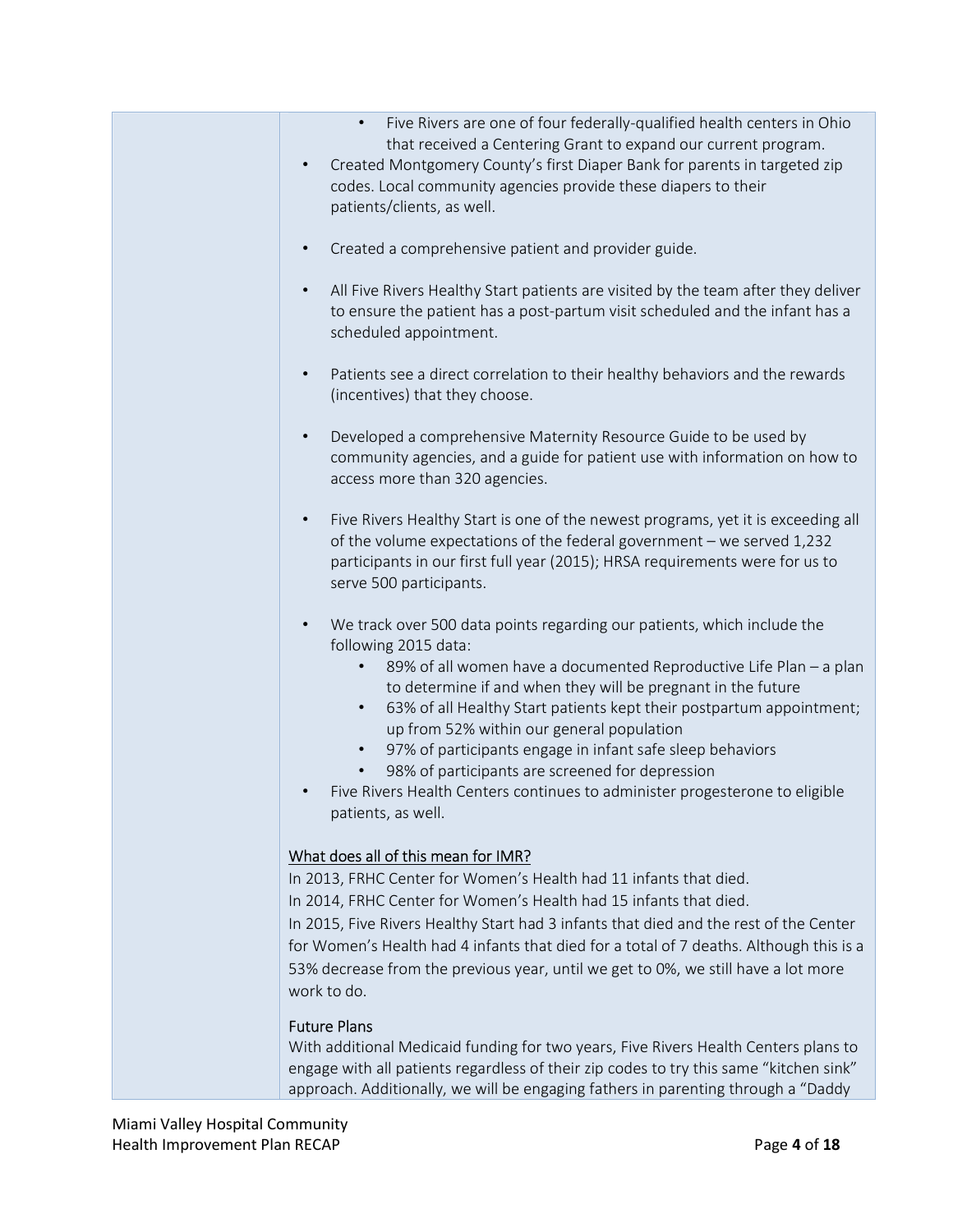- Five Rivers are one of four federally-qualified health centers in Ohio that received a Centering Grant to expand our current program.
- Created Montgomery County's first Diaper Bank for parents in targeted zip codes. Local community agencies provide these diapers to their patients/clients, as well.
- Created a comprehensive patient and provider guide.
- All Five Rivers Healthy Start patients are visited by the team after they deliver to ensure the patient has a post-partum visit scheduled and the infant has a scheduled appointment.
- Patients see a direct correlation to their healthy behaviors and the rewards (incentives) that they choose.
- Developed a comprehensive Maternity Resource Guide to be used by community agencies, and a guide for patient use with information on how to access more than 320 agencies.
- Five Rivers Healthy Start is one of the newest programs, yet it is exceeding all of the volume expectations of the federal government – we served 1,232 participants in our first full year (2015); HRSA requirements were for us to serve 500 participants.
- We track over 500 data points regarding our patients, which include the following 2015 data:
	- 89% of all women have a documented Reproductive Life Plan a plan to determine if and when they will be pregnant in the future
	- 63% of all Healthy Start patients kept their postpartum appointment; up from 52% within our general population
	- 97% of participants engage in infant safe sleep behaviors
	- 98% of participants are screened for depression
- Five Rivers Health Centers continues to administer progesterone to eligible patients, as well.

# What does all of this mean for IMR?

In 2013, FRHC Center for Women's Health had 11 infants that died. In 2014, FRHC Center for Women's Health had 15 infants that died. In 2015, Five Rivers Healthy Start had 3 infants that died and the rest of the Center for Women's Health had 4 infants that died for a total of 7 deaths. Although this is a 53% decrease from the previous year, until we get to 0%, we still have a lot more work to do.

# Future Plans

With additional Medicaid funding for two years, Five Rivers Health Centers plans to engage with all patients regardless of their zip codes to try this same "kitchen sink" approach. Additionally, we will be engaging fathers in parenting through a "Daddy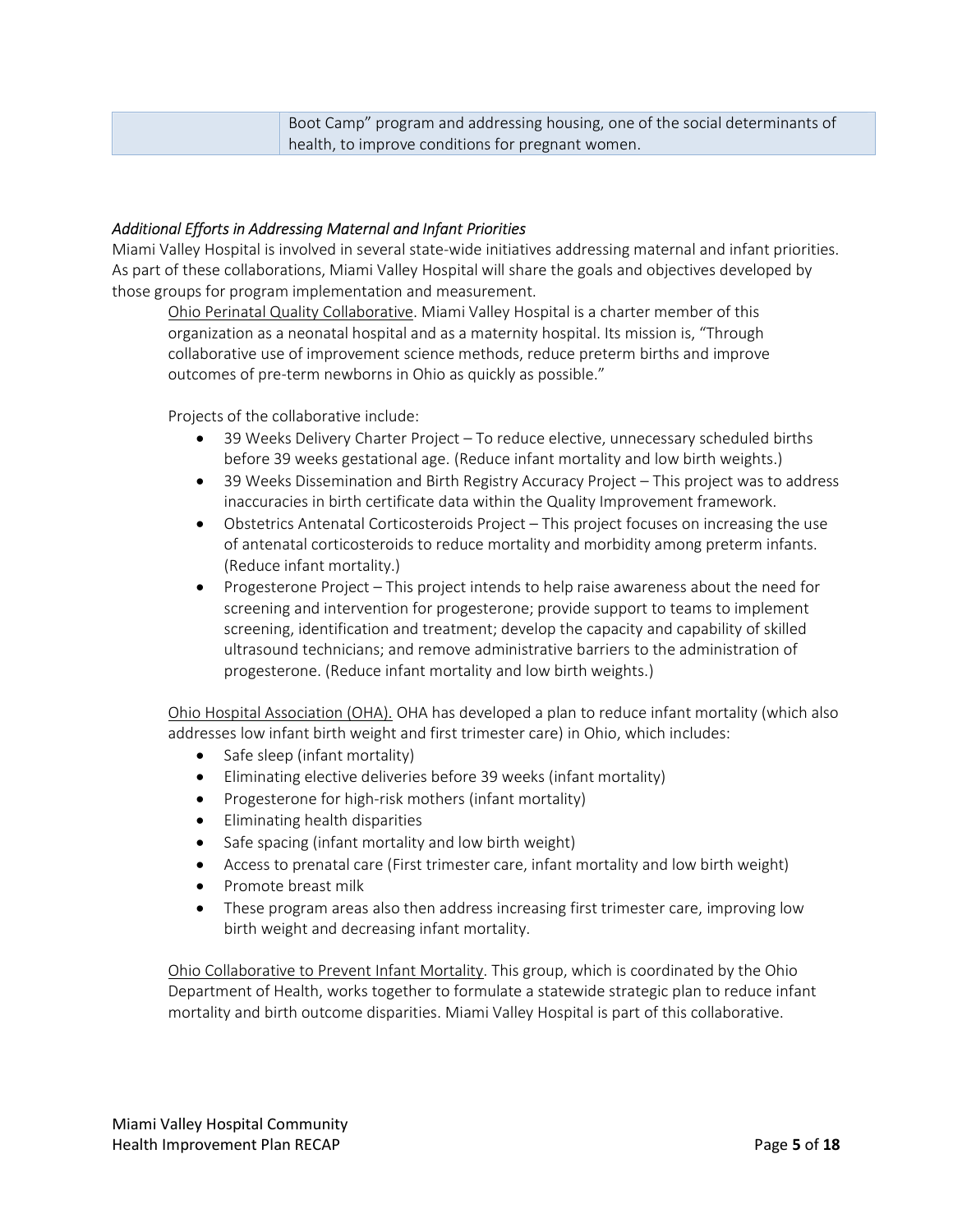| Boot Camp" program and addressing housing, one of the social determinants of |
|------------------------------------------------------------------------------|
| health, to improve conditions for pregnant women.                            |

# Additional Efforts in Addressing Maternal and Infant Priorities

Miami Valley Hospital is involved in several state-wide initiatives addressing maternal and infant priorities. As part of these collaborations, Miami Valley Hospital will share the goals and objectives developed by those groups for program implementation and measurement.

Ohio Perinatal Quality Collaborative. Miami Valley Hospital is a charter member of this organization as a neonatal hospital and as a maternity hospital. Its mission is, "Through collaborative use of improvement science methods, reduce preterm births and improve outcomes of pre-term newborns in Ohio as quickly as possible."

Projects of the collaborative include:

- 39 Weeks Delivery Charter Project To reduce elective, unnecessary scheduled births before 39 weeks gestational age. (Reduce infant mortality and low birth weights.)
- 39 Weeks Dissemination and Birth Registry Accuracy Project This project was to address inaccuracies in birth certificate data within the Quality Improvement framework.
- Obstetrics Antenatal Corticosteroids Project This project focuses on increasing the use of antenatal corticosteroids to reduce mortality and morbidity among preterm infants. (Reduce infant mortality.)
- Progesterone Project This project intends to help raise awareness about the need for screening and intervention for progesterone; provide support to teams to implement screening, identification and treatment; develop the capacity and capability of skilled ultrasound technicians; and remove administrative barriers to the administration of progesterone. (Reduce infant mortality and low birth weights.)

Ohio Hospital Association (OHA). OHA has developed a plan to reduce infant mortality (which also addresses low infant birth weight and first trimester care) in Ohio, which includes:

- Safe sleep (infant mortality)
- Eliminating elective deliveries before 39 weeks (infant mortality)
- Progesterone for high-risk mothers (infant mortality)
- Eliminating health disparities
- Safe spacing (infant mortality and low birth weight)
- Access to prenatal care (First trimester care, infant mortality and low birth weight)
- Promote breast milk
- These program areas also then address increasing first trimester care, improving low birth weight and decreasing infant mortality.

Ohio Collaborative to Prevent Infant Mortality. This group, which is coordinated by the Ohio Department of Health, works together to formulate a statewide strategic plan to reduce infant mortality and birth outcome disparities. Miami Valley Hospital is part of this collaborative.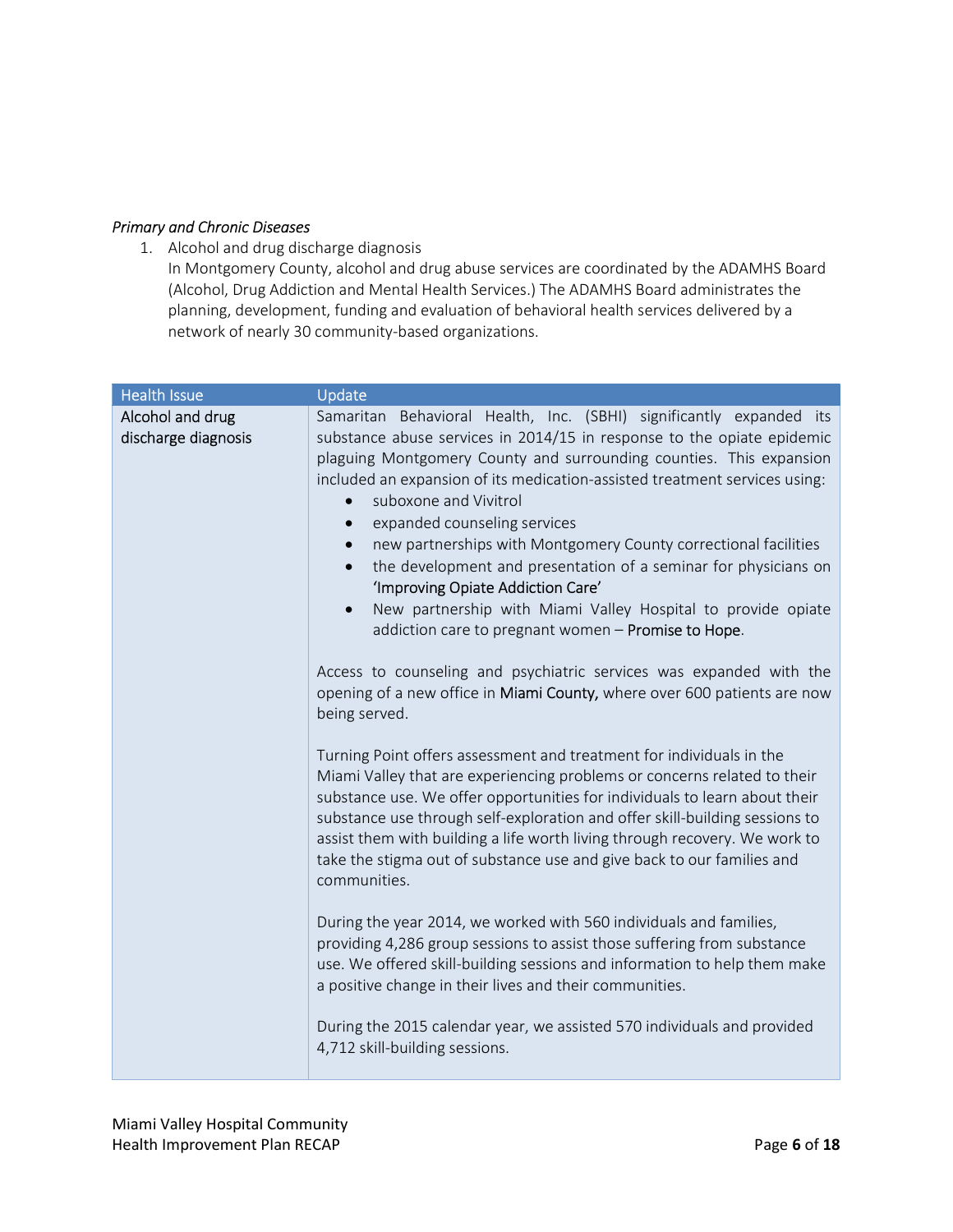# Primary and Chronic Diseases

1. Alcohol and drug discharge diagnosis

In Montgomery County, alcohol and drug abuse services are coordinated by the ADAMHS Board (Alcohol, Drug Addiction and Mental Health Services.) The ADAMHS Board administrates the planning, development, funding and evaluation of behavioral health services delivered by a network of nearly 30 community-based organizations.

| <b>Health Issue</b>                     | Update                                                                                                                                                                                                                                                                                                                                                                                                                                                                                                                                                                                                                                                                                                                                                                                                                                                                                                                                             |
|-----------------------------------------|----------------------------------------------------------------------------------------------------------------------------------------------------------------------------------------------------------------------------------------------------------------------------------------------------------------------------------------------------------------------------------------------------------------------------------------------------------------------------------------------------------------------------------------------------------------------------------------------------------------------------------------------------------------------------------------------------------------------------------------------------------------------------------------------------------------------------------------------------------------------------------------------------------------------------------------------------|
| Alcohol and drug<br>discharge diagnosis | Samaritan Behavioral Health, Inc. (SBHI) significantly expanded its<br>substance abuse services in 2014/15 in response to the opiate epidemic<br>plaguing Montgomery County and surrounding counties. This expansion<br>included an expansion of its medication-assisted treatment services using:<br>suboxone and Vivitrol<br>$\bullet$<br>expanded counseling services<br>new partnerships with Montgomery County correctional facilities<br>the development and presentation of a seminar for physicians on<br>'Improving Opiate Addiction Care'<br>New partnership with Miami Valley Hospital to provide opiate<br>$\bullet$<br>addiction care to pregnant women - Promise to Hope.                                                                                                                                                                                                                                                            |
|                                         | Access to counseling and psychiatric services was expanded with the<br>opening of a new office in Miami County, where over 600 patients are now<br>being served.<br>Turning Point offers assessment and treatment for individuals in the<br>Miami Valley that are experiencing problems or concerns related to their<br>substance use. We offer opportunities for individuals to learn about their<br>substance use through self-exploration and offer skill-building sessions to<br>assist them with building a life worth living through recovery. We work to<br>take the stigma out of substance use and give back to our families and<br>communities.<br>During the year 2014, we worked with 560 individuals and families,<br>providing 4,286 group sessions to assist those suffering from substance<br>use. We offered skill-building sessions and information to help them make<br>a positive change in their lives and their communities. |
|                                         | During the 2015 calendar year, we assisted 570 individuals and provided<br>4,712 skill-building sessions.                                                                                                                                                                                                                                                                                                                                                                                                                                                                                                                                                                                                                                                                                                                                                                                                                                          |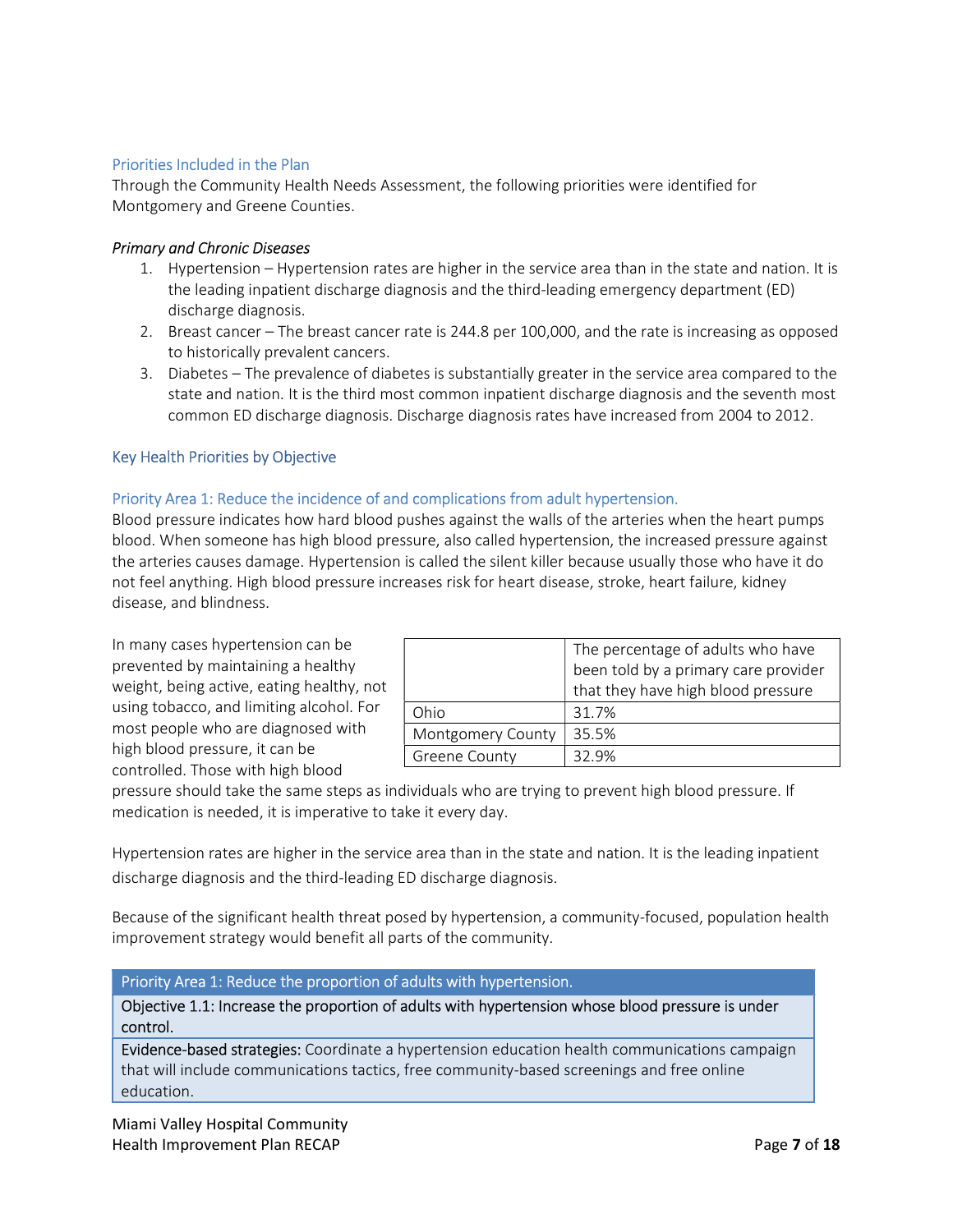# Priorities Included in the Plan

Through the Community Health Needs Assessment, the following priorities were identified for Montgomery and Greene Counties.

# Primary and Chronic Diseases

- 1. Hypertension Hypertension rates are higher in the service area than in the state and nation. It is the leading inpatient discharge diagnosis and the third-leading emergency department (ED) discharge diagnosis.
- 2. Breast cancer The breast cancer rate is 244.8 per 100,000, and the rate is increasing as opposed to historically prevalent cancers.
- 3. Diabetes The prevalence of diabetes is substantially greater in the service area compared to the state and nation. It is the third most common inpatient discharge diagnosis and the seventh most common ED discharge diagnosis. Discharge diagnosis rates have increased from 2004 to 2012.

# Key Health Priorities by Objective

# Priority Area 1: Reduce the incidence of and complications from adult hypertension.

Blood pressure indicates how hard blood pushes against the walls of the arteries when the heart pumps blood. When someone has high blood pressure, also called hypertension, the increased pressure against the arteries causes damage. Hypertension is called the silent killer because usually those who have it do not feel anything. High blood pressure increases risk for heart disease, stroke, heart failure, kidney disease, and blindness.

In many cases hypertension can be prevented by maintaining a healthy weight, being active, eating healthy, not using tobacco, and limiting alcohol. For most people who are diagnosed with high blood pressure, it can be controlled. Those with high blood

|                      | The percentage of adults who have    |  |  |
|----------------------|--------------------------------------|--|--|
|                      | been told by a primary care provider |  |  |
|                      | that they have high blood pressure   |  |  |
| Ohio                 | 31.7%                                |  |  |
| Montgomery County    | 35.5%                                |  |  |
| <b>Greene County</b> | 32.9%                                |  |  |

pressure should take the same steps as individuals who are trying to prevent high blood pressure. If medication is needed, it is imperative to take it every day.

Hypertension rates are higher in the service area than in the state and nation. It is the leading inpatient discharge diagnosis and the third-leading ED discharge diagnosis.

Because of the significant health threat posed by hypertension, a community-focused, population health improvement strategy would benefit all parts of the community.

Priority Area 1: Reduce the proportion of adults with hypertension.

Objective 1.1: Increase the proportion of adults with hypertension whose blood pressure is under control.

Evidence-based strategies: Coordinate a hypertension education health communications campaign that will include communications tactics, free community-based screenings and free online education.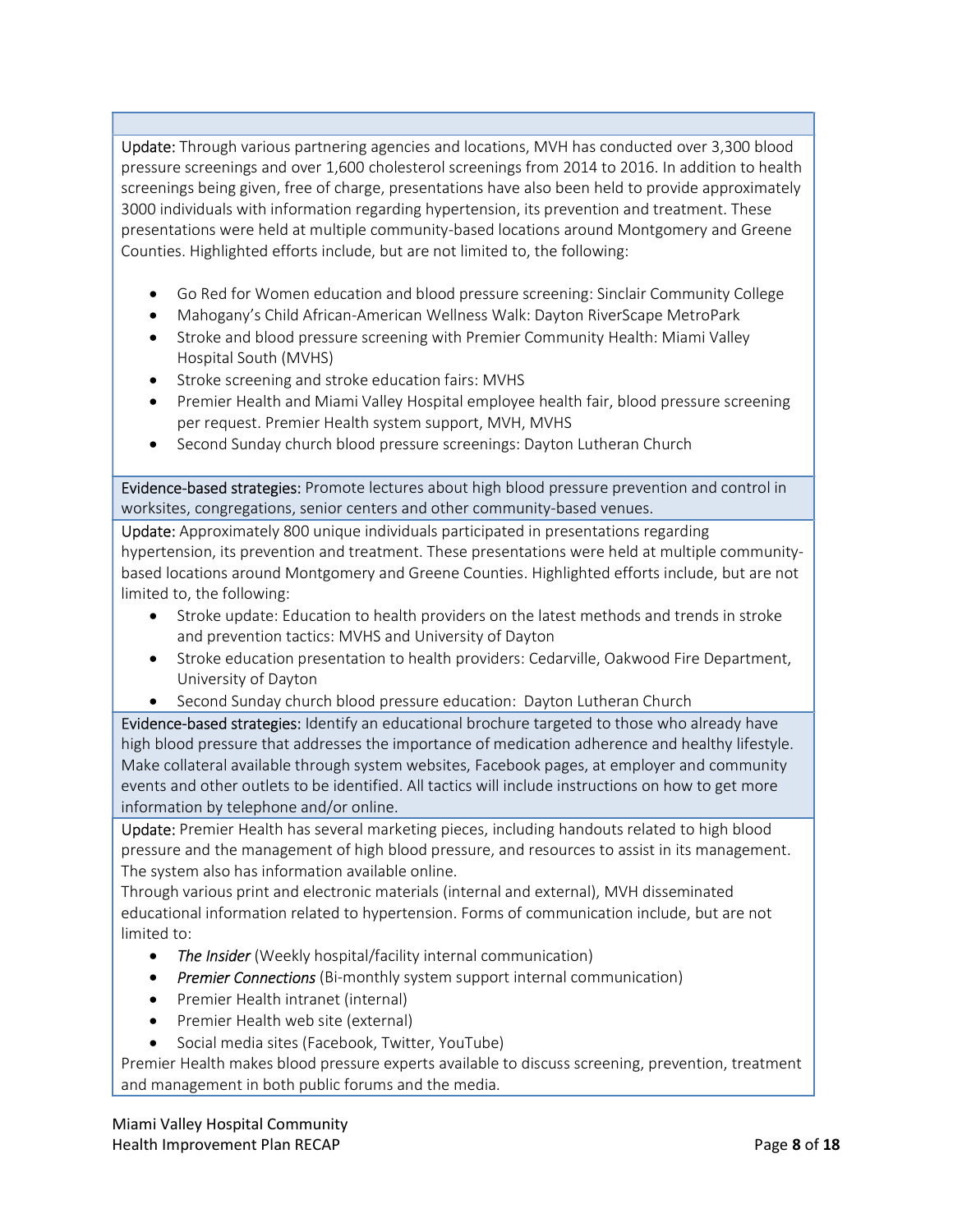Update: Through various partnering agencies and locations, MVH has conducted over 3,300 blood pressure screenings and over 1,600 cholesterol screenings from 2014 to 2016. In addition to health screenings being given, free of charge, presentations have also been held to provide approximately 3000 individuals with information regarding hypertension, its prevention and treatment. These presentations were held at multiple community-based locations around Montgomery and Greene Counties. Highlighted efforts include, but are not limited to, the following:

- Go Red for Women education and blood pressure screening: Sinclair Community College
- Mahogany's Child African-American Wellness Walk: Dayton RiverScape MetroPark
- Stroke and blood pressure screening with Premier Community Health: Miami Valley Hospital South (MVHS)
- Stroke screening and stroke education fairs: MVHS
- Premier Health and Miami Valley Hospital employee health fair, blood pressure screening per request. Premier Health system support, MVH, MVHS
- Second Sunday church blood pressure screenings: Dayton Lutheran Church

Evidence-based strategies: Promote lectures about high blood pressure prevention and control in worksites, congregations, senior centers and other community-based venues.

Update: Approximately 800 unique individuals participated in presentations regarding hypertension, its prevention and treatment. These presentations were held at multiple communitybased locations around Montgomery and Greene Counties. Highlighted efforts include, but are not limited to, the following:

- Stroke update: Education to health providers on the latest methods and trends in stroke and prevention tactics: MVHS and University of Dayton
- Stroke education presentation to health providers: Cedarville, Oakwood Fire Department, University of Dayton
- Second Sunday church blood pressure education: Dayton Lutheran Church

Evidence-based strategies: Identify an educational brochure targeted to those who already have high blood pressure that addresses the importance of medication adherence and healthy lifestyle. Make collateral available through system websites, Facebook pages, at employer and community events and other outlets to be identified. All tactics will include instructions on how to get more information by telephone and/or online.

Update: Premier Health has several marketing pieces, including handouts related to high blood pressure and the management of high blood pressure, and resources to assist in its management. The system also has information available online.

Through various print and electronic materials (internal and external), MVH disseminated educational information related to hypertension. Forms of communication include, but are not limited to:

- The Insider (Weekly hospital/facility internal communication)
- Premier Connections (Bi-monthly system support internal communication)
- Premier Health intranet (internal)
- Premier Health web site (external)
- Social media sites (Facebook, Twitter, YouTube)

Premier Health makes blood pressure experts available to discuss screening, prevention, treatment and management in both public forums and the media.

Miami Valley Hospital Community Health Improvement Plan RECAP **Page 8 of 18**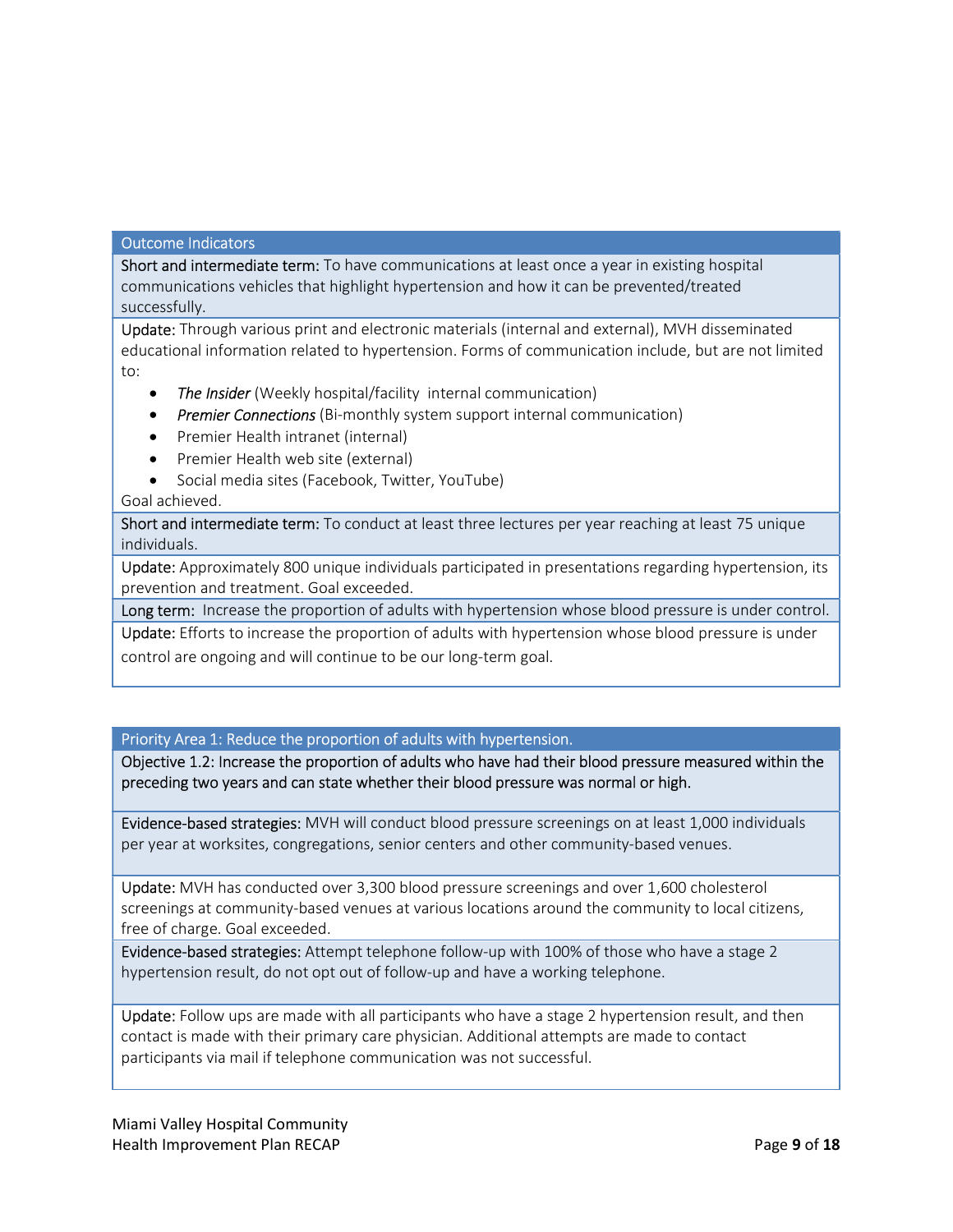## Outcome Indicators

Short and intermediate term: To have communications at least once a year in existing hospital communications vehicles that highlight hypertension and how it can be prevented/treated successfully.

Update: Through various print and electronic materials (internal and external), MVH disseminated educational information related to hypertension. Forms of communication include, but are not limited to:

- The Insider (Weekly hospital/facility internal communication)
- **•** Premier Connections (Bi-monthly system support internal communication)
- Premier Health intranet (internal)
- Premier Health web site (external)
- Social media sites (Facebook, Twitter, YouTube)

# Goal achieved.

Short and intermediate term: To conduct at least three lectures per year reaching at least 75 unique individuals.

Update: Approximately 800 unique individuals participated in presentations regarding hypertension, its prevention and treatment. Goal exceeded.

Long term: Increase the proportion of adults with hypertension whose blood pressure is under control.

Update: Efforts to increase the proportion of adults with hypertension whose blood pressure is under control are ongoing and will continue to be our long-term goal.

Priority Area 1: Reduce the proportion of adults with hypertension.

Objective 1.2: Increase the proportion of adults who have had their blood pressure measured within the preceding two years and can state whether their blood pressure was normal or high.

Evidence-based strategies: MVH will conduct blood pressure screenings on at least 1,000 individuals per year at worksites, congregations, senior centers and other community-based venues.

Update: MVH has conducted over 3,300 blood pressure screenings and over 1,600 cholesterol screenings at community-based venues at various locations around the community to local citizens, free of charge. Goal exceeded.

Evidence-based strategies: Attempt telephone follow-up with 100% of those who have a stage 2 hypertension result, do not opt out of follow-up and have a working telephone.

Update: Follow ups are made with all participants who have a stage 2 hypertension result, and then contact is made with their primary care physician. Additional attempts are made to contact participants via mail if telephone communication was not successful.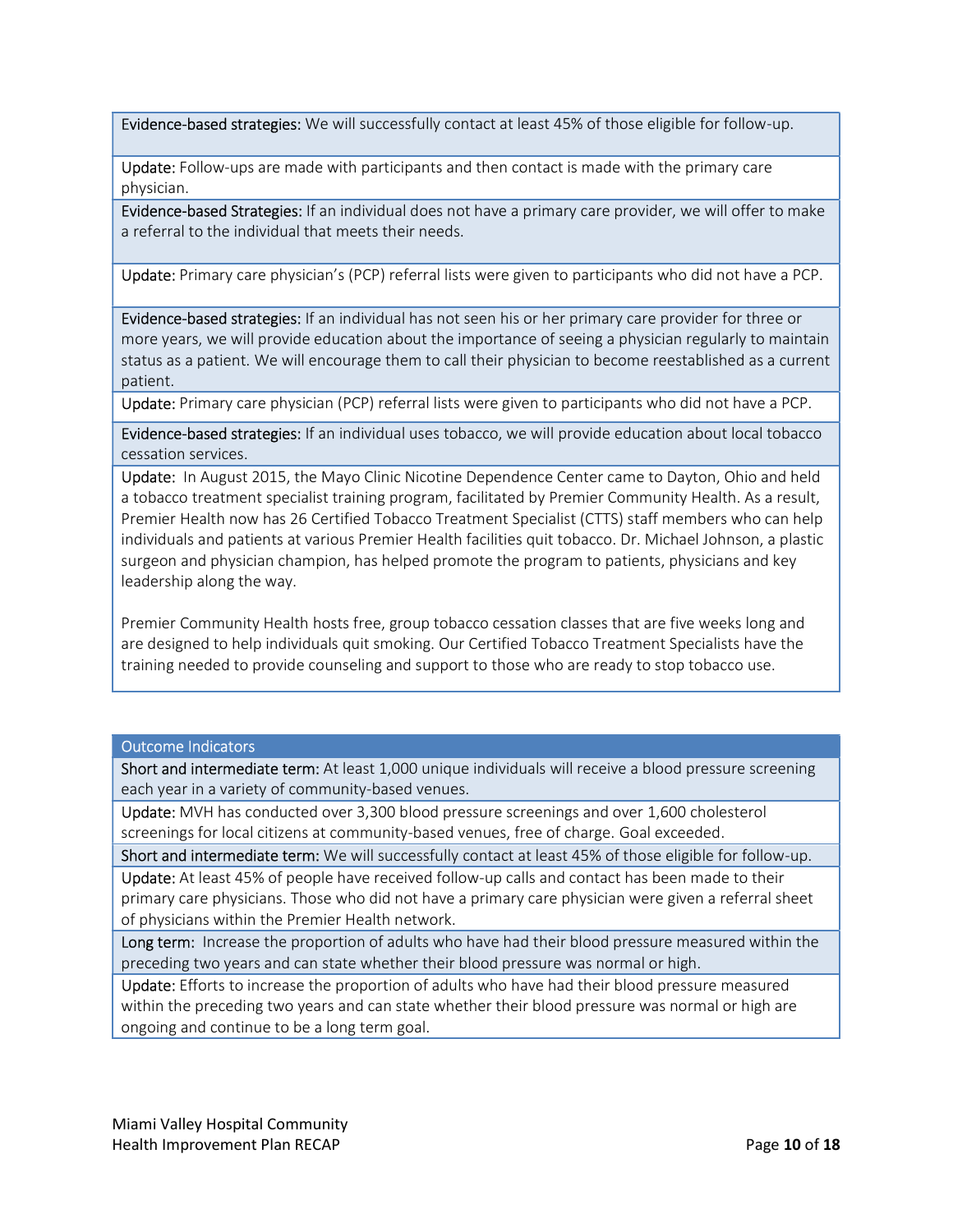Evidence-based strategies: We will successfully contact at least 45% of those eligible for follow-up.

Update: Follow-ups are made with participants and then contact is made with the primary care physician.

Evidence-based Strategies: If an individual does not have a primary care provider, we will offer to make a referral to the individual that meets their needs.

Update: Primary care physician's (PCP) referral lists were given to participants who did not have a PCP.

Evidence-based strategies: If an individual has not seen his or her primary care provider for three or more years, we will provide education about the importance of seeing a physician regularly to maintain status as a patient. We will encourage them to call their physician to become reestablished as a current patient.

Update: Primary care physician (PCP) referral lists were given to participants who did not have a PCP.

Evidence-based strategies: If an individual uses tobacco, we will provide education about local tobacco cessation services.

Update: In August 2015, the Mayo Clinic Nicotine Dependence Center came to Dayton, Ohio and held a tobacco treatment specialist training program, facilitated by Premier Community Health. As a result, Premier Health now has 26 Certified Tobacco Treatment Specialist (CTTS) staff members who can help individuals and patients at various Premier Health facilities quit tobacco. Dr. Michael Johnson, a plastic surgeon and physician champion, has helped promote the program to patients, physicians and key leadership along the way.

Premier Community Health hosts free, group tobacco cessation classes that are five weeks long and are designed to help individuals quit smoking. Our Certified Tobacco Treatment Specialists have the training needed to provide counseling and support to those who are ready to stop tobacco use.

#### Outcome Indicators

Short and intermediate term: At least 1,000 unique individuals will receive a blood pressure screening each year in a variety of community-based venues.

Update: MVH has conducted over 3,300 blood pressure screenings and over 1,600 cholesterol screenings for local citizens at community-based venues, free of charge. Goal exceeded.

Short and intermediate term: We will successfully contact at least 45% of those eligible for follow-up.

Update: At least 45% of people have received follow-up calls and contact has been made to their primary care physicians. Those who did not have a primary care physician were given a referral sheet of physicians within the Premier Health network.

Long term: Increase the proportion of adults who have had their blood pressure measured within the preceding two years and can state whether their blood pressure was normal or high.

Update: Efforts to increase the proportion of adults who have had their blood pressure measured within the preceding two years and can state whether their blood pressure was normal or high are ongoing and continue to be a long term goal.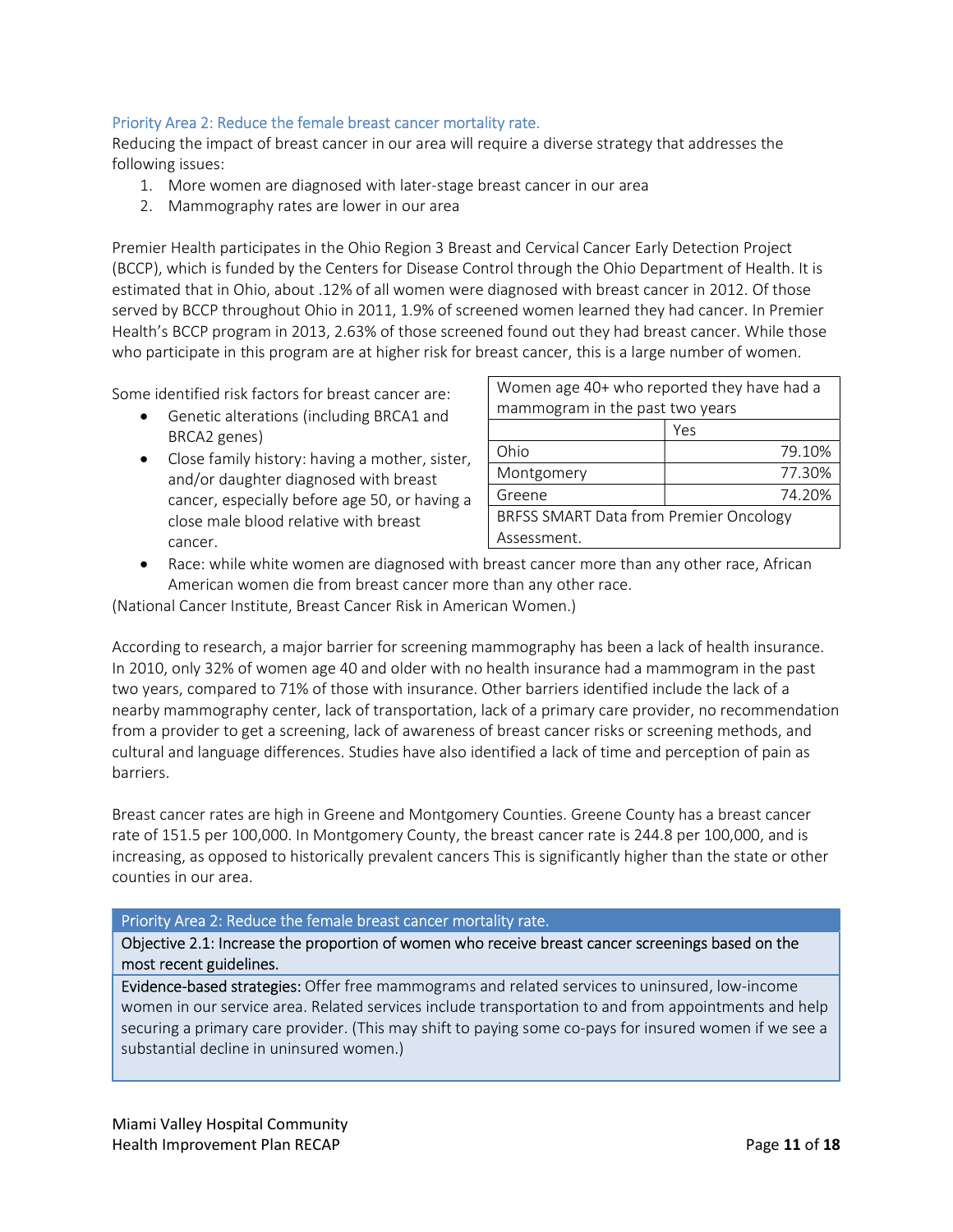# Priority Area 2: Reduce the female breast cancer mortality rate.

Reducing the impact of breast cancer in our area will require a diverse strategy that addresses the following issues:

- 1. More women are diagnosed with later-stage breast cancer in our area
- 2. Mammography rates are lower in our area

Premier Health participates in the Ohio Region 3 Breast and Cervical Cancer Early Detection Project (BCCP), which is funded by the Centers for Disease Control through the Ohio Department of Health. It is estimated that in Ohio, about .12% of all women were diagnosed with breast cancer in 2012. Of those served by BCCP throughout Ohio in 2011, 1.9% of screened women learned they had cancer. In Premier Health's BCCP program in 2013, 2.63% of those screened found out they had breast cancer. While those who participate in this program are at higher risk for breast cancer, this is a large number of women.

Some identified risk factors for breast cancer are:

- Genetic alterations (including BRCA1 and BRCA2 genes)
- Close family history: having a mother, sister, and/or daughter diagnosed with breast cancer, especially before age 50, or having a close male blood relative with breast cancer.

| Women age 40+ who reported they have had a |        |  |  |
|--------------------------------------------|--------|--|--|
| mammogram in the past two years            |        |  |  |
|                                            | Yes    |  |  |
| Ohio                                       | 79.10% |  |  |
| Montgomery                                 | 77.30% |  |  |
| Greene                                     | 74.20% |  |  |
| BRFSS SMART Data from Premier Oncology     |        |  |  |
| Assessment.                                |        |  |  |

 Race: while white women are diagnosed with breast cancer more than any other race, African American women die from breast cancer more than any other race.

(National Cancer Institute, Breast Cancer Risk in American Women.)

According to research, a major barrier for screening mammography has been a lack of health insurance. In 2010, only 32% of women age 40 and older with no health insurance had a mammogram in the past two years, compared to 71% of those with insurance. Other barriers identified include the lack of a nearby mammography center, lack of transportation, lack of a primary care provider, no recommendation from a provider to get a screening, lack of awareness of breast cancer risks or screening methods, and cultural and language differences. Studies have also identified a lack of time and perception of pain as barriers.

Breast cancer rates are high in Greene and Montgomery Counties. Greene County has a breast cancer rate of 151.5 per 100,000. In Montgomery County, the breast cancer rate is 244.8 per 100,000, and is increasing, as opposed to historically prevalent cancers This is significantly higher than the state or other counties in our area.

# Priority Area 2: Reduce the female breast cancer mortality rate.

Objective 2.1: Increase the proportion of women who receive breast cancer screenings based on the most recent guidelines.

Evidence-based strategies: Offer free mammograms and related services to uninsured, low-income women in our service area. Related services include transportation to and from appointments and help securing a primary care provider. (This may shift to paying some co-pays for insured women if we see a substantial decline in uninsured women.)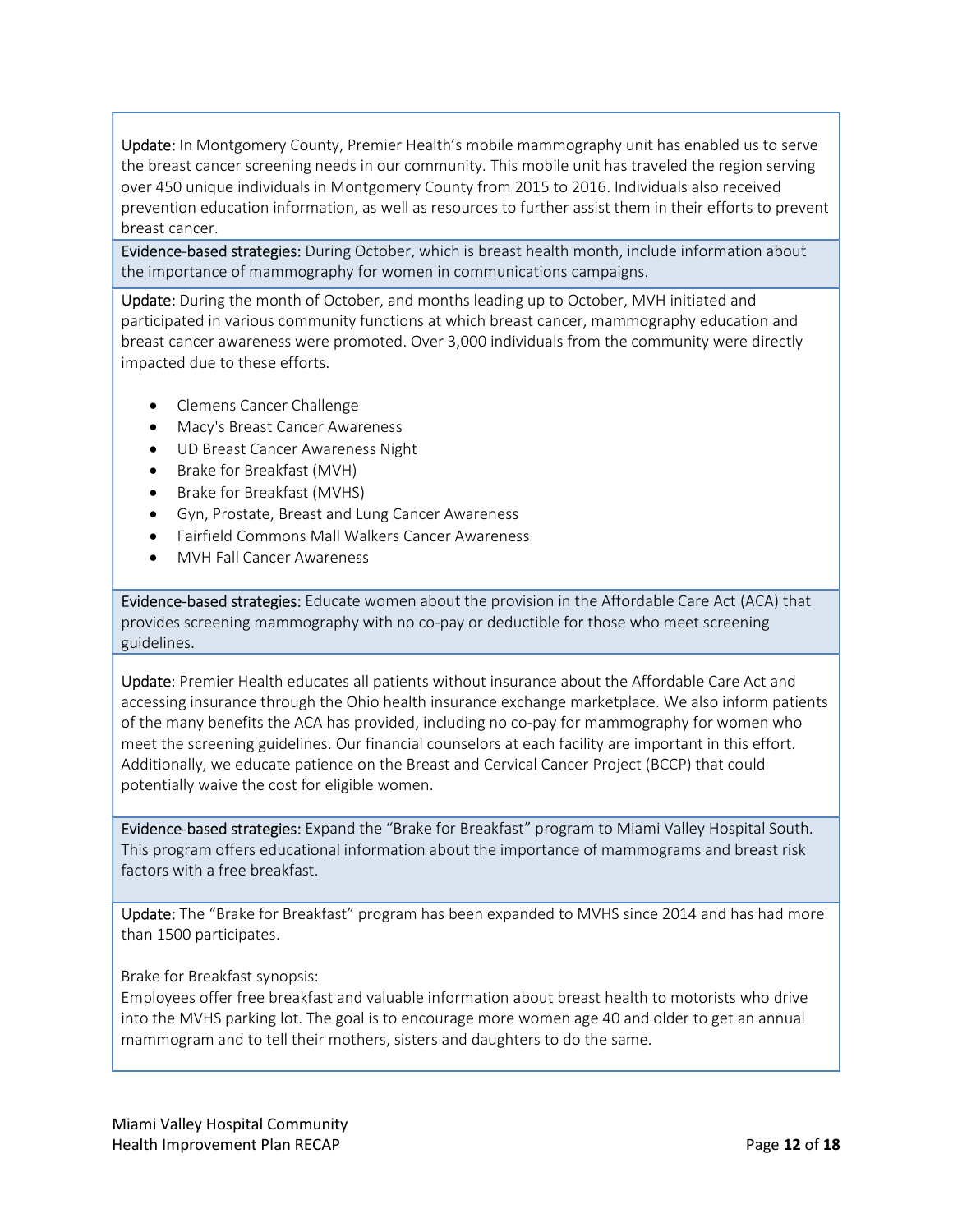Update: In Montgomery County, Premier Health's mobile mammography unit has enabled us to serve the breast cancer screening needs in our community. This mobile unit has traveled the region serving over 450 unique individuals in Montgomery County from 2015 to 2016. Individuals also received prevention education information, as well as resources to further assist them in their efforts to prevent breast cancer.

Evidence-based strategies: During October, which is breast health month, include information about the importance of mammography for women in communications campaigns.

Update: During the month of October, and months leading up to October, MVH initiated and participated in various community functions at which breast cancer, mammography education and breast cancer awareness were promoted. Over 3,000 individuals from the community were directly impacted due to these efforts.

- Clemens Cancer Challenge
- Macy's Breast Cancer Awareness
- UD Breast Cancer Awareness Night
- Brake for Breakfast (MVH)
- Brake for Breakfast (MVHS)
- Gyn, Prostate, Breast and Lung Cancer Awareness
- Fairfield Commons Mall Walkers Cancer Awareness
- MVH Fall Cancer Awareness

Evidence-based strategies: Educate women about the provision in the Affordable Care Act (ACA) that provides screening mammography with no co-pay or deductible for those who meet screening guidelines.

Update: Premier Health educates all patients without insurance about the Affordable Care Act and accessing insurance through the Ohio health insurance exchange marketplace. We also inform patients of the many benefits the ACA has provided, including no co-pay for mammography for women who meet the screening guidelines. Our financial counselors at each facility are important in this effort. Additionally, we educate patience on the Breast and Cervical Cancer Project (BCCP) that could potentially waive the cost for eligible women.

Evidence-based strategies: Expand the "Brake for Breakfast" program to Miami Valley Hospital South. This program offers educational information about the importance of mammograms and breast risk factors with a free breakfast.

Update: The "Brake for Breakfast" program has been expanded to MVHS since 2014 and has had more than 1500 participates.

# Brake for Breakfast synopsis:

Employees offer free breakfast and valuable information about breast health to motorists who drive into the MVHS parking lot. The goal is to encourage more women age 40 and older to get an annual mammogram and to tell their mothers, sisters and daughters to do the same.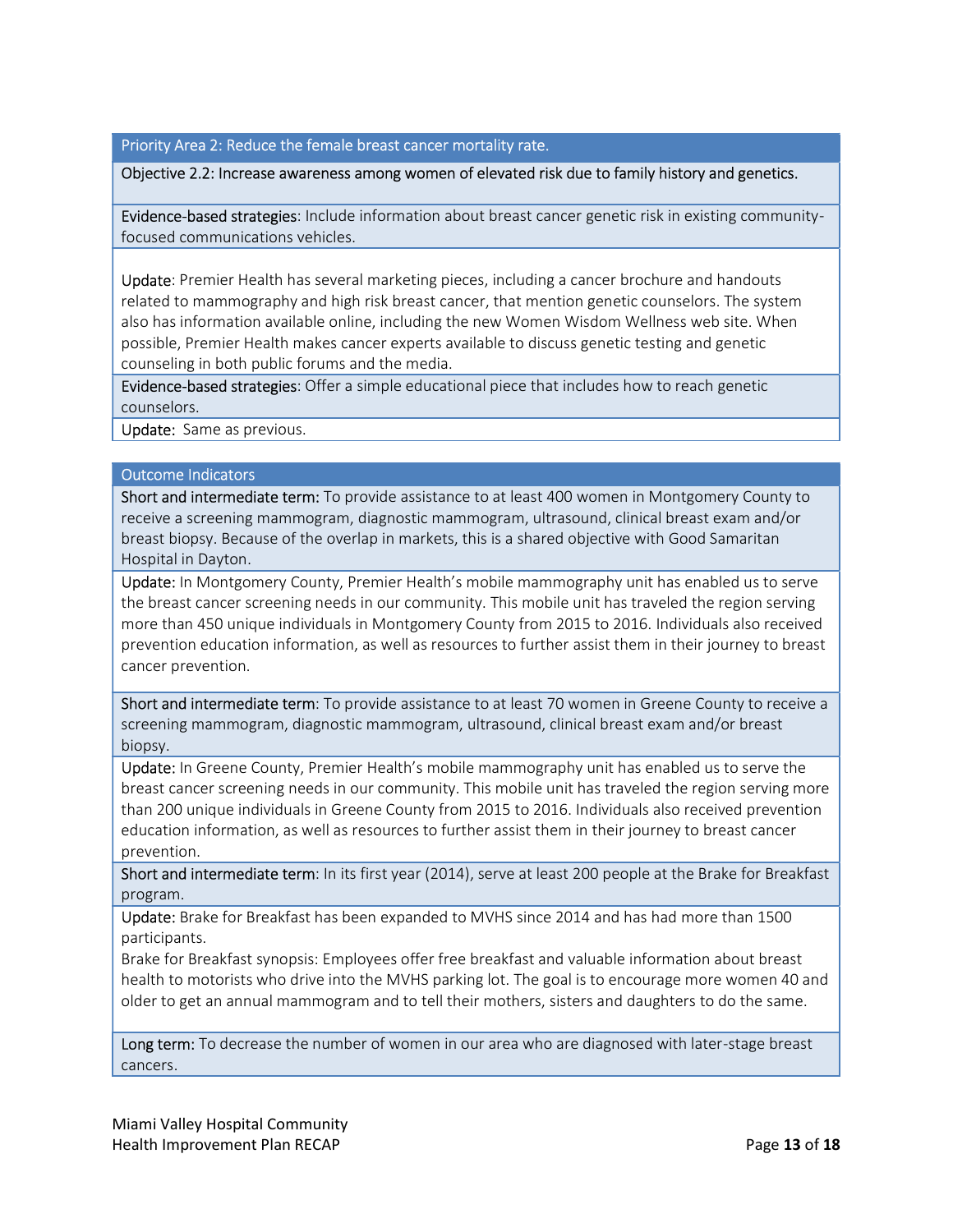# Priority Area 2: Reduce the female breast cancer mortality rate.

#### Objective 2.2: Increase awareness among women of elevated risk due to family history and genetics.

Evidence-based strategies: Include information about breast cancer genetic risk in existing communityfocused communications vehicles.

Update: Premier Health has several marketing pieces, including a cancer brochure and handouts related to mammography and high risk breast cancer, that mention genetic counselors. The system also has information available online, including the new Women Wisdom Wellness web site. When possible, Premier Health makes cancer experts available to discuss genetic testing and genetic counseling in both public forums and the media.

Evidence-based strategies: Offer a simple educational piece that includes how to reach genetic counselors.

Update: Same as previous.

#### Outcome Indicators

Short and intermediate term: To provide assistance to at least 400 women in Montgomery County to receive a screening mammogram, diagnostic mammogram, ultrasound, clinical breast exam and/or breast biopsy. Because of the overlap in markets, this is a shared objective with Good Samaritan Hospital in Dayton.

Update: In Montgomery County, Premier Health's mobile mammography unit has enabled us to serve the breast cancer screening needs in our community. This mobile unit has traveled the region serving more than 450 unique individuals in Montgomery County from 2015 to 2016. Individuals also received prevention education information, as well as resources to further assist them in their journey to breast cancer prevention.

Short and intermediate term: To provide assistance to at least 70 women in Greene County to receive a screening mammogram, diagnostic mammogram, ultrasound, clinical breast exam and/or breast biopsy.

Update: In Greene County, Premier Health's mobile mammography unit has enabled us to serve the breast cancer screening needs in our community. This mobile unit has traveled the region serving more than 200 unique individuals in Greene County from 2015 to 2016. Individuals also received prevention education information, as well as resources to further assist them in their journey to breast cancer prevention.

Short and intermediate term: In its first year (2014), serve at least 200 people at the Brake for Breakfast program.

Update: Brake for Breakfast has been expanded to MVHS since 2014 and has had more than 1500 participants.

Brake for Breakfast synopsis: Employees offer free breakfast and valuable information about breast health to motorists who drive into the MVHS parking lot. The goal is to encourage more women 40 and older to get an annual mammogram and to tell their mothers, sisters and daughters to do the same.

Long term: To decrease the number of women in our area who are diagnosed with later-stage breast cancers.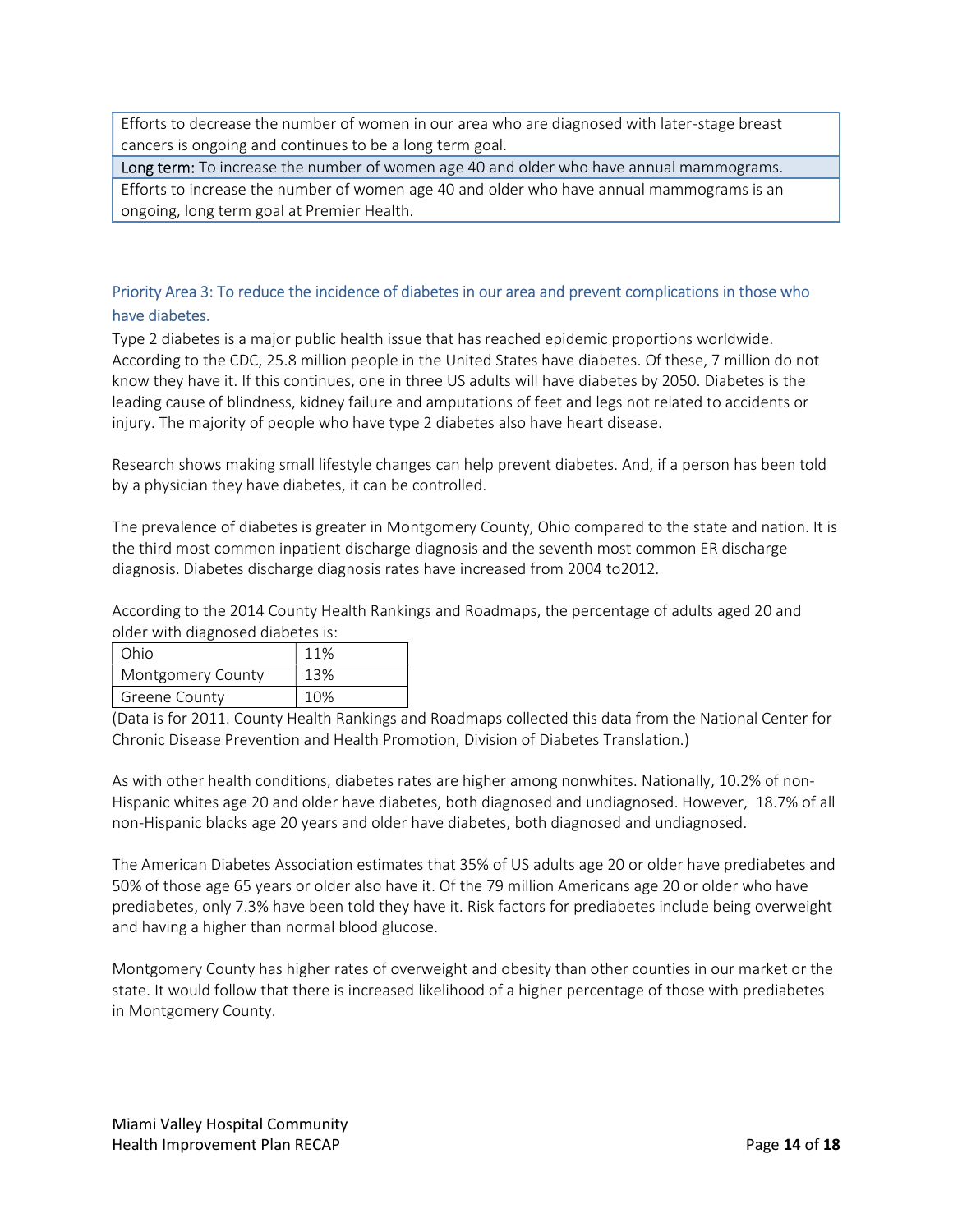Efforts to decrease the number of women in our area who are diagnosed with later-stage breast cancers is ongoing and continues to be a long term goal.

Long term: To increase the number of women age 40 and older who have annual mammograms.

Efforts to increase the number of women age 40 and older who have annual mammograms is an ongoing, long term goal at Premier Health.

# Priority Area 3: To reduce the incidence of diabetes in our area and prevent complications in those who have diabetes.

Type 2 diabetes is a major public health issue that has reached epidemic proportions worldwide. According to the CDC, 25.8 million people in the United States have diabetes. Of these, 7 million do not know they have it. If this continues, one in three US adults will have diabetes by 2050. Diabetes is the leading cause of blindness, kidney failure and amputations of feet and legs not related to accidents or injury. The majority of people who have type 2 diabetes also have heart disease.

Research shows making small lifestyle changes can help prevent diabetes. And, if a person has been told by a physician they have diabetes, it can be controlled.

The prevalence of diabetes is greater in Montgomery County, Ohio compared to the state and nation. It is the third most common inpatient discharge diagnosis and the seventh most common ER discharge diagnosis. Diabetes discharge diagnosis rates have increased from 2004 to2012.

According to the 2014 County Health Rankings and Roadmaps, the percentage of adults aged 20 and older with diagnosed diabetes is:

| Ohio              | 11% |
|-------------------|-----|
| Montgomery County | 13% |
| Greene County     | 10% |

(Data is for 2011. County Health Rankings and Roadmaps collected this data from the National Center for Chronic Disease Prevention and Health Promotion, Division of Diabetes Translation.)

As with other health conditions, diabetes rates are higher among nonwhites. Nationally, 10.2% of non-Hispanic whites age 20 and older have diabetes, both diagnosed and undiagnosed. However, 18.7% of all non-Hispanic blacks age 20 years and older have diabetes, both diagnosed and undiagnosed.

The American Diabetes Association estimates that 35% of US adults age 20 or older have prediabetes and 50% of those age 65 years or older also have it. Of the 79 million Americans age 20 or older who have prediabetes, only 7.3% have been told they have it. Risk factors for prediabetes include being overweight and having a higher than normal blood glucose.

Montgomery County has higher rates of overweight and obesity than other counties in our market or the state. It would follow that there is increased likelihood of a higher percentage of those with prediabetes in Montgomery County.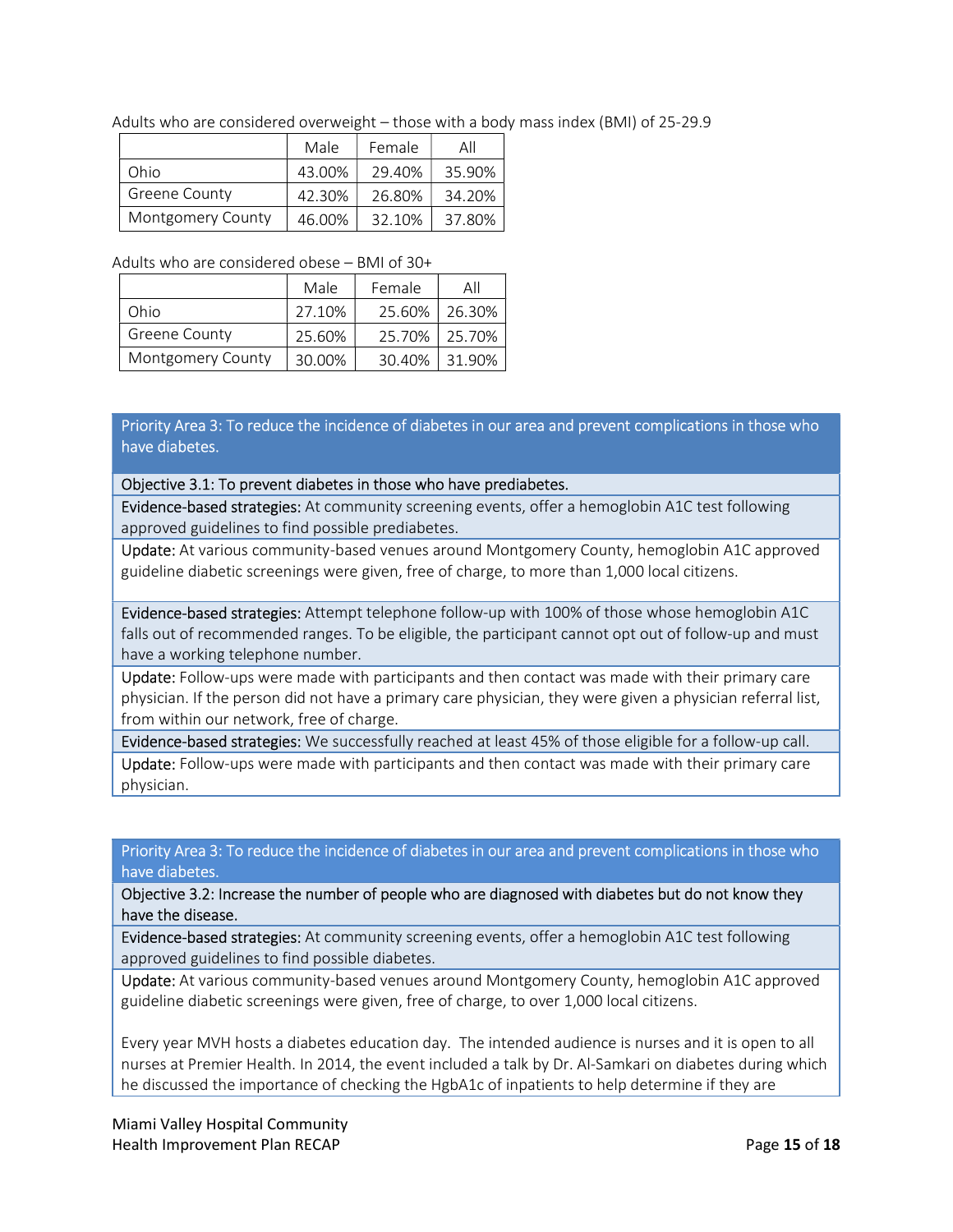Adults who are considered overweight – those with a body mass index (BMI) of 25-29.9

|                          | Male   | Female | All    |
|--------------------------|--------|--------|--------|
| Ohio                     | 43.00% | 29.40% | 35.90% |
| <b>Greene County</b>     | 42.30% | 26.80% | 34.20% |
| <b>Montgomery County</b> | 46.00% | 32.10% | 37.80% |

#### Adults who are considered obese – BMI of 30+

|                          | Male   | Female | Αll    |
|--------------------------|--------|--------|--------|
| Ohio                     | 27.10% | 25.60% | 26.30% |
| <b>Greene County</b>     | 25.60% | 25.70% | 25.70% |
| <b>Montgomery County</b> | 30.00% | 30.40% | 31.90% |

Priority Area 3: To reduce the incidence of diabetes in our area and prevent complications in those who have diabetes.

## Objective 3.1: To prevent diabetes in those who have prediabetes.

Evidence-based strategies: At community screening events, offer a hemoglobin A1C test following approved guidelines to find possible prediabetes.

Update: At various community-based venues around Montgomery County, hemoglobin A1C approved guideline diabetic screenings were given, free of charge, to more than 1,000 local citizens.

Evidence-based strategies: Attempt telephone follow-up with 100% of those whose hemoglobin A1C falls out of recommended ranges. To be eligible, the participant cannot opt out of follow-up and must have a working telephone number.

Update: Follow-ups were made with participants and then contact was made with their primary care physician. If the person did not have a primary care physician, they were given a physician referral list, from within our network, free of charge.

Evidence-based strategies: We successfully reached at least 45% of those eligible for a follow-up call.

Update: Follow-ups were made with participants and then contact was made with their primary care physician.

# Priority Area 3: To reduce the incidence of diabetes in our area and prevent complications in those who have diabetes.

Objective 3.2: Increase the number of people who are diagnosed with diabetes but do not know they have the disease.

Evidence-based strategies: At community screening events, offer a hemoglobin A1C test following approved guidelines to find possible diabetes.

Update: At various community-based venues around Montgomery County, hemoglobin A1C approved guideline diabetic screenings were given, free of charge, to over 1,000 local citizens.

Every year MVH hosts a diabetes education day. The intended audience is nurses and it is open to all nurses at Premier Health. In 2014, the event included a talk by Dr. Al-Samkari on diabetes during which he discussed the importance of checking the HgbA1c of inpatients to help determine if they are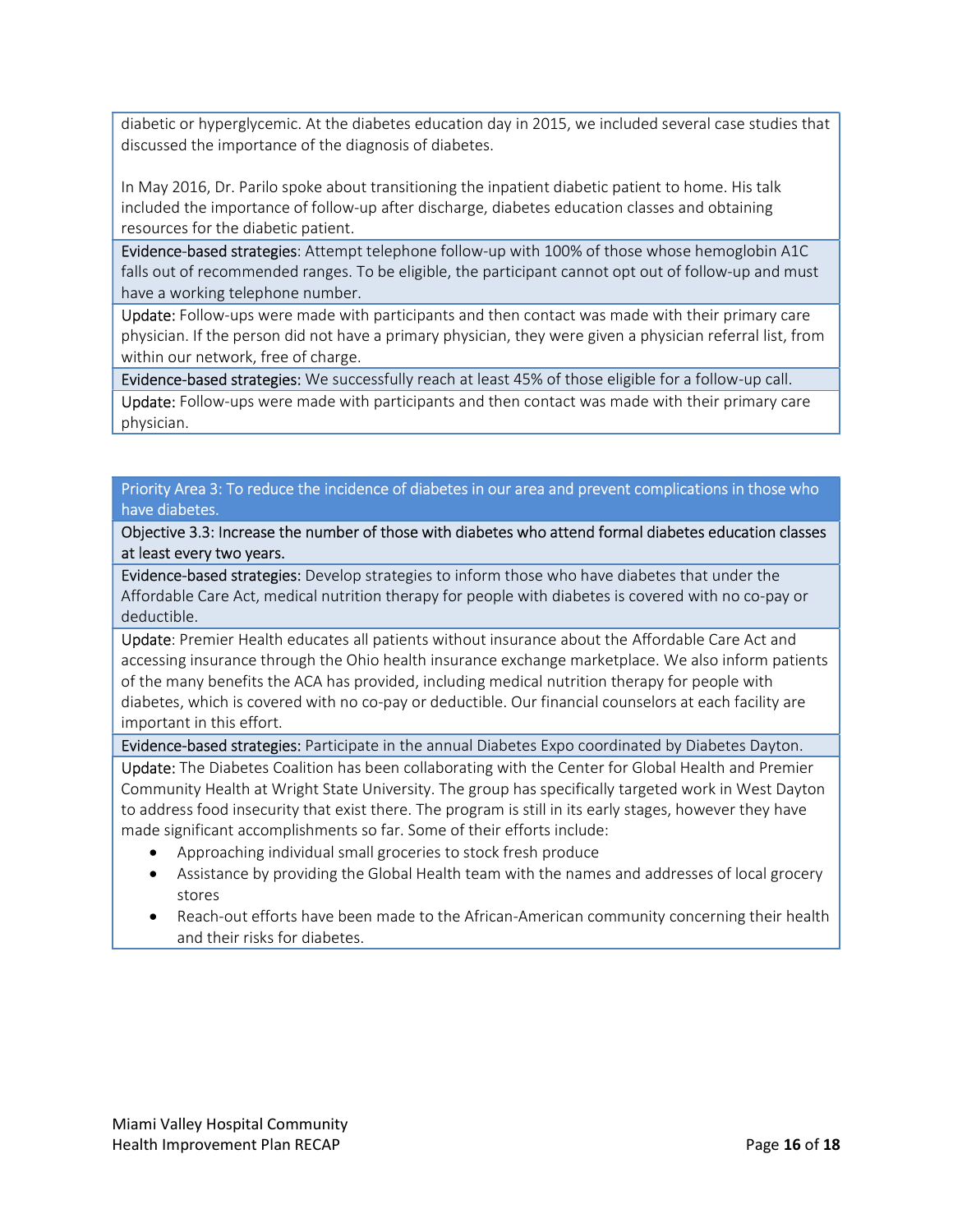diabetic or hyperglycemic. At the diabetes education day in 2015, we included several case studies that discussed the importance of the diagnosis of diabetes.

In May 2016, Dr. Parilo spoke about transitioning the inpatient diabetic patient to home. His talk included the importance of follow-up after discharge, diabetes education classes and obtaining resources for the diabetic patient.

Evidence-based strategies: Attempt telephone follow-up with 100% of those whose hemoglobin A1C falls out of recommended ranges. To be eligible, the participant cannot opt out of follow-up and must have a working telephone number.

Update: Follow-ups were made with participants and then contact was made with their primary care physician. If the person did not have a primary physician, they were given a physician referral list, from within our network, free of charge.

Evidence-based strategies: We successfully reach at least 45% of those eligible for a follow-up call.

Update: Follow-ups were made with participants and then contact was made with their primary care physician.

# Priority Area 3: To reduce the incidence of diabetes in our area and prevent complications in those who have diabetes.

Objective 3.3: Increase the number of those with diabetes who attend formal diabetes education classes at least every two years.

Evidence-based strategies: Develop strategies to inform those who have diabetes that under the Affordable Care Act, medical nutrition therapy for people with diabetes is covered with no co-pay or deductible.

Update: Premier Health educates all patients without insurance about the Affordable Care Act and accessing insurance through the Ohio health insurance exchange marketplace. We also inform patients of the many benefits the ACA has provided, including medical nutrition therapy for people with diabetes, which is covered with no co-pay or deductible. Our financial counselors at each facility are important in this effort.

Evidence-based strategies: Participate in the annual Diabetes Expo coordinated by Diabetes Dayton.

Update: The Diabetes Coalition has been collaborating with the Center for Global Health and Premier Community Health at Wright State University. The group has specifically targeted work in West Dayton to address food insecurity that exist there. The program is still in its early stages, however they have made significant accomplishments so far. Some of their efforts include:

- Approaching individual small groceries to stock fresh produce
- Assistance by providing the Global Health team with the names and addresses of local grocery stores
- Reach-out efforts have been made to the African-American community concerning their health and their risks for diabetes.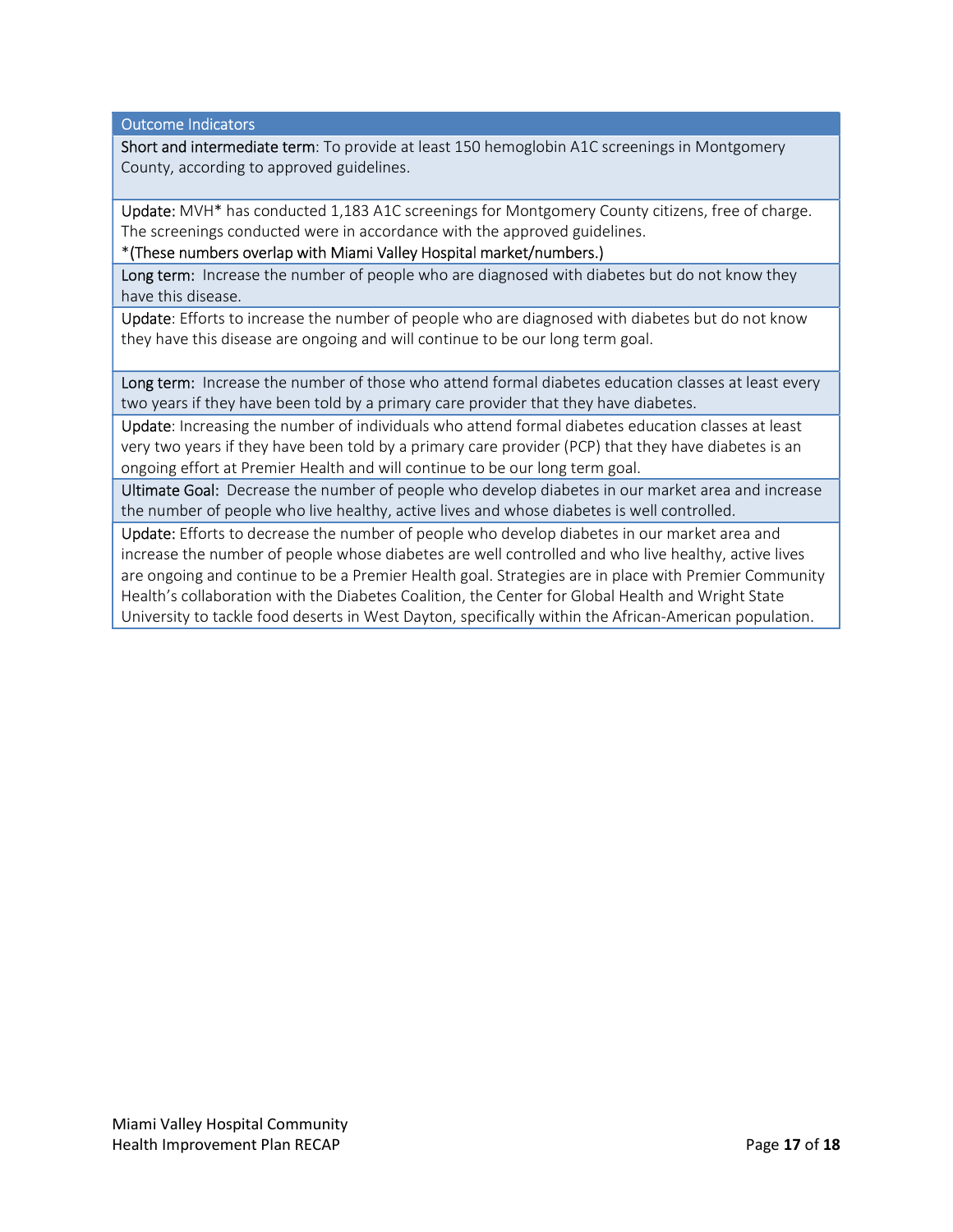Outcome Indicators

Short and intermediate term: To provide at least 150 hemoglobin A1C screenings in Montgomery County, according to approved guidelines.

Update: MVH\* has conducted 1,183 A1C screenings for Montgomery County citizens, free of charge. The screenings conducted were in accordance with the approved guidelines.

\*(These numbers overlap with Miami Valley Hospital market/numbers.)

Long term: Increase the number of people who are diagnosed with diabetes but do not know they have this disease.

Update: Efforts to increase the number of people who are diagnosed with diabetes but do not know they have this disease are ongoing and will continue to be our long term goal.

Long term: Increase the number of those who attend formal diabetes education classes at least every two years if they have been told by a primary care provider that they have diabetes.

Update: Increasing the number of individuals who attend formal diabetes education classes at least very two years if they have been told by a primary care provider (PCP) that they have diabetes is an ongoing effort at Premier Health and will continue to be our long term goal.

Ultimate Goal: Decrease the number of people who develop diabetes in our market area and increase the number of people who live healthy, active lives and whose diabetes is well controlled.

Update: Efforts to decrease the number of people who develop diabetes in our market area and increase the number of people whose diabetes are well controlled and who live healthy, active lives are ongoing and continue to be a Premier Health goal. Strategies are in place with Premier Community Health's collaboration with the Diabetes Coalition, the Center for Global Health and Wright State University to tackle food deserts in West Dayton, specifically within the African-American population.